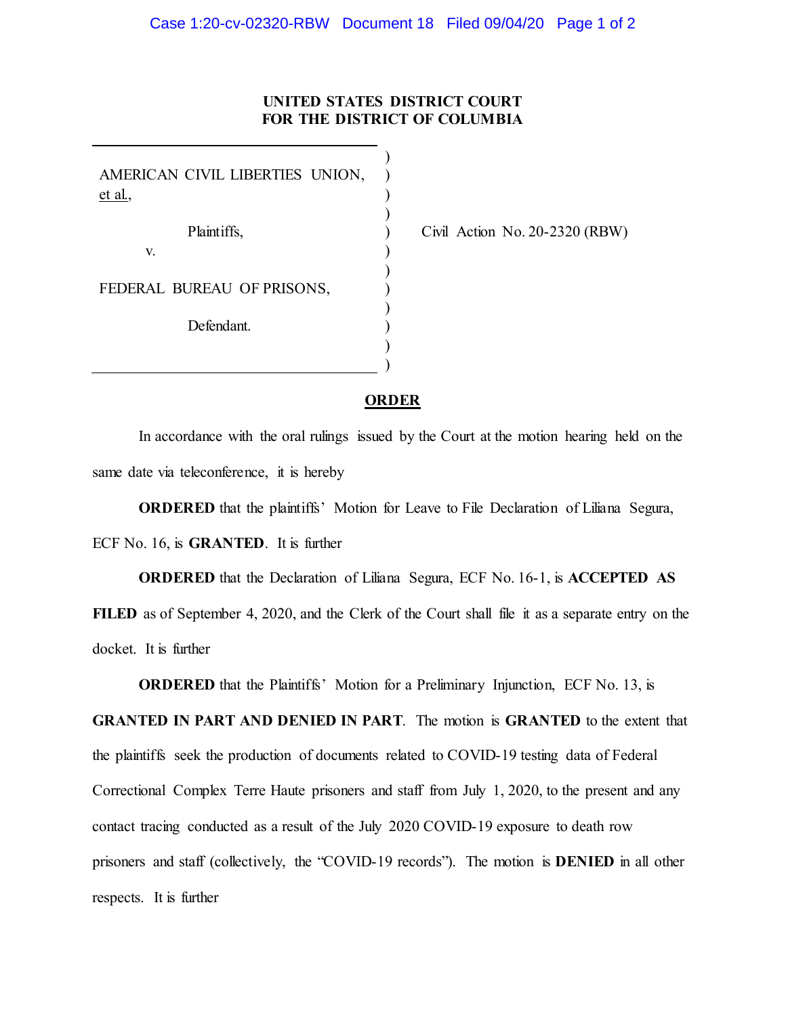## **UNITED STATES DISTRICT COURT FOR THE DISTRICT OF COLUMBIA**

AMERICAN CIVIL LIBERTIES UNION, et al., Plaintiffs, v. FEDERAL BUREAU OF PRISONS, Defendant. )  $\lambda$  $\lambda$ ) ) ) ) ) ) ) ) )

Civil Action No. 20-2320 (RBW)

## **ORDER**

In accordance with the oral rulings issued by the Court at the motion hearing held on the same date via teleconference, it is hereby

**ORDERED** that the plaintiffs' Motion for Leave to File Declaration of Liliana Segura, ECF No. 16, is **GRANTED**. It is further

**ORDERED** that the Declaration of Liliana Segura, ECF No. 16-1, is **ACCEPTED AS FILED** as of September 4, 2020, and the Clerk of the Court shall file it as a separate entry on the docket. It is further

**ORDERED** that the Plaintiffs' Motion for a Preliminary Injunction, ECF No. 13, is

**GRANTED IN PART AND DENIED IN PART**. The motion is **GRANTED** to the extent that the plaintiffs seek the production of documents related to COVID-19 testing data of Federal Correctional Complex Terre Haute prisoners and staff from July 1, 2020, to the present and any contact tracing conducted as a result of the July 2020 COVID-19 exposure to death row prisoners and staff (collectively, the "COVID-19 records"). The motion is **DENIED** in all other respects. It is further